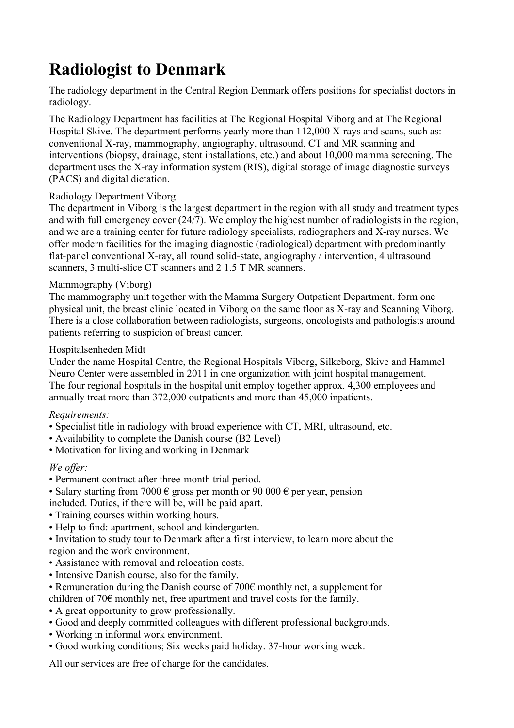# **Radiologist to Denmark**

The radiology department in the Central Region Denmark offers positions for specialist doctors in radiology.

The Radiology Department has facilities at The Regional Hospital Viborg and at The Regional Hospital Skive. The department performs yearly more than 112,000 X-rays and scans, such as: conventional X-ray, mammography, angiography, ultrasound, CT and MR scanning and interventions (biopsy, drainage, stent installations, etc.) and about 10,000 mamma screening. The department uses the X-ray information system (RIS), digital storage of image diagnostic surveys (PACS) and digital dictation.

### Radiology Department Viborg

The department in Viborg is the largest department in the region with all study and treatment types and with full emergency cover (24/7). We employ the highest number of radiologists in the region, and we are a training center for future radiology specialists, radiographers and X-ray nurses. We offer modern facilities for the imaging diagnostic (radiological) department with predominantly flat-panel conventional X-ray, all round solid-state, angiography / intervention, 4 ultrasound scanners, 3 multi-slice CT scanners and 2 1.5 T MR scanners.

### Mammography (Viborg)

The mammography unit together with the Mamma Surgery Outpatient Department, form one physical unit, the breast clinic located in Viborg on the same floor as X-ray and Scanning Viborg. There is a close collaboration between radiologists, surgeons, oncologists and pathologists around patients referring to suspicion of breast cancer.

### Hospitalsenheden Midt

Under the name Hospital Centre, the Regional Hospitals Viborg, Silkeborg, Skive and Hammel Neuro Center were assembled in 2011 in one organization with joint hospital management. The four regional hospitals in the hospital unit employ together approx. 4,300 employees and annually treat more than 372,000 outpatients and more than 45,000 inpatients.

# *Requirements:*

- Specialist title in radiology with broad experience with CT, MRI, ultrasound, etc.
- Availability to complete the Danish course (B2 Level)
- Motivation for living and working in Denmark

# *We offer:*

- Permanent contract after three-month trial period.
- Salary starting from 7000  $\epsilon$  gross per month or 90 000  $\epsilon$  per year, pension included. Duties, if there will be, will be paid apart.
- Training courses within working hours.
- Help to find: apartment, school and kindergarten.
- Invitation to study tour to Denmark after a first interview, to learn more about the region and the work environment.
- Assistance with removal and relocation costs.
- Intensive Danish course, also for the family.
- Remuneration during the Danish course of 700€ monthly net, a supplement for children of 70€ monthly net, free apartment and travel costs for the family.
- A great opportunity to grow professionally.
- Good and deeply committed colleagues with different professional backgrounds.
- Working in informal work environment.
- Good working conditions; Six weeks paid holiday. 37-hour working week.

All our services are free of charge for the candidates.